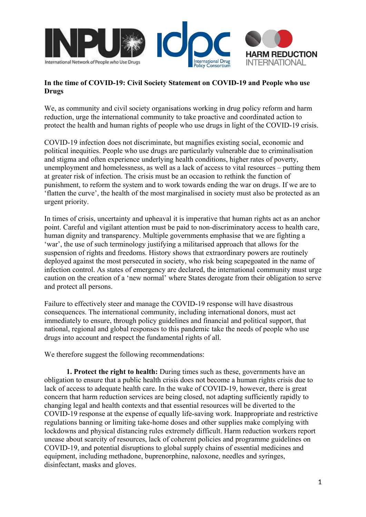

## **In the time of COVID-19: Civil Society Statement on COVID-19 and People who use Drugs**

We, as community and civil society organisations working in drug policy reform and harm reduction, urge the international community to take proactive and coordinated action to protect the health and human rights of people who use drugs in light of the COVID-19 crisis.

COVID-19 infection does not discriminate, but magnifies existing social, economic and political inequities. People who use drugs are particularly vulnerable due to criminalisation and stigma and often experience underlying health conditions, higher rates of poverty, unemployment and homelessness, as well as a lack of access to vital resources – putting them at greater risk of infection. The crisis must be an occasion to rethink the function of punishment, to reform the system and to work towards ending the war on drugs. If we are to 'flatten the curve', the health of the most marginalised in society must also be protected as an urgent priority.

In times of crisis, uncertainty and upheaval it is imperative that human rights act as an anchor point. Careful and vigilant attention must be paid to non-discriminatory access to health care, human dignity and transparency. Multiple governments emphasise that we are fighting a 'war', the use of such terminology justifying a militarised approach that allows for the suspension of rights and freedoms. History shows that extraordinary powers are routinely deployed against the most persecuted in society, who risk being scapegoated in the name of infection control. As states of emergency are declared, the international community must urge caution on the creation of a 'new normal' where States derogate from their obligation to serve and protect all persons.

Failure to effectively steer and manage the COVID-19 response will have disastrous consequences. The international community, including international donors, must act immediately to ensure, through policy guidelines and financial and political support, that national, regional and global responses to this pandemic take the needs of people who use drugs into account and respect the fundamental rights of all.

We therefore suggest the following recommendations:

**1. Protect the right to health:** During times such as these, governments have an obligation to ensure that a public health crisis does not become a human rights crisis due to lack of access to adequate health care. In the wake of COVID-19, however, there is great concern that harm reduction services are being closed, not adapting sufficiently rapidly to changing legal and health contexts and that essential resources will be diverted to the COVID-19 response at the expense of equally life-saving work. Inappropriate and restrictive regulations banning or limiting take-home doses and other supplies make complying with lockdowns and physical distancing rules extremely difficult. Harm reduction workers report unease about scarcity of resources, lack of coherent policies and programme guidelines on COVID-19, and potential disruptions to global supply chains of essential medicines and equipment, including methadone, buprenorphine, naloxone, needles and syringes, disinfectant, masks and gloves.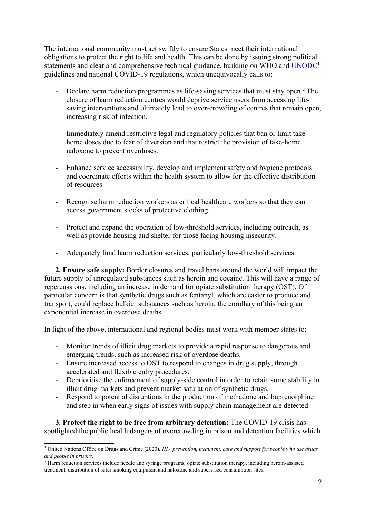The international community must act swiftly to ensure States meet their international obligations to protect the right to life and health. This can be done by issuing strong political statements and clear and comprehensive technical guidance, building on WHO and [UNODC](https://www.unodc.org/unodc/en/hiv-aids/new/covid-19-and-hiv.html)<sup>[1](#page-1-0)</sup> guidelines and national COVID-19 regulations, which unequivocally calls to:

- Declare harm reduction programmes as life-saving services that must stay open.<sup>[2](#page-1-1)</sup> The closure of harm reduction centres would deprive service users from accessing lifesaving interventions and ultimately lead to over-crowding of centres that remain open, increasing risk of infection.
- Immediately amend restrictive legal and regulatory policies that ban or limit takehome doses due to fear of diversion and that restrict the provision of take-home naloxone to prevent overdoses.
- Enhance service accessibility, develop and implement safety and hygiene protocols and coordinate efforts within the health system to allow for the effective distribution of resources.
- Recognise harm reduction workers as critical healthcare workers so that they can access government stocks of protective clothing.
- Protect and expand the operation of low-threshold services, including outreach, as well as provide housing and shelter for those facing housing insecurity.
- Adequately fund harm reduction services, particularly low-threshold services.

**2. Ensure safe supply:** Border closures and travel bans around the world will impact the future supply of unregulated substances such as heroin and cocaine. This will have a range of repercussions, including an increase in demand for opiate substitution therapy (OST). Of particular concern is that synthetic drugs such as fentanyl, which are easier to produce and transport, could replace bulkier substances such as heroin, the corollary of this being an exponential increase in overdose deaths.

In light of the above, international and regional bodies must work with member states to:

- Monitor trends of illicit drug markets to provide a rapid response to dangerous and emerging trends, such as increased risk of overdose deaths.
- Ensure increased access to OST to respond to changes in drug supply, through accelerated and flexible entry procedures.
- Deprioritise the enforcement of supply-side control in order to retain some stability in illicit drug markets and prevent market saturation of synthetic drugs.
- Respond to potential disruptions in the production of methadone and buprenorphine and step in when early signs of issues with supply chain management are detected.

**3. Protect the right to be free from arbitrary detention:** The COVID-19 crisis has spotlighted the public health dangers of overcrowding in prison and detention facilities which

<span id="page-1-0"></span><sup>1</sup> United Nations Office on Drugs and Crime (2020), *HIV prevention, treatment, care and support for people who use drugs and people in prisons.* 

<span id="page-1-1"></span><sup>&</sup>lt;sup>2</sup> Harm reduction services include needle and syringe programs, opiate substitution therapy, including heroin-assisted treatment, distribution of safer smoking equipment and naloxone and supervised consumption sites.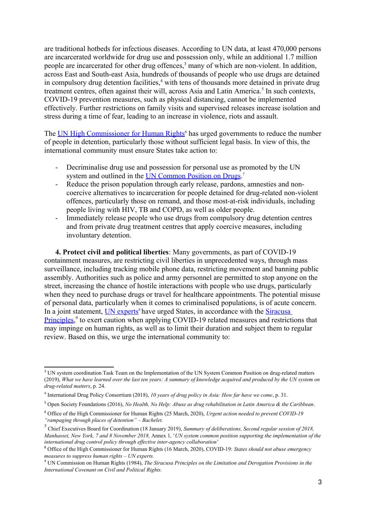are traditional hotbeds for infectious diseases. According to UN data, at least 470,000 persons are incarcerated worldwide for drug use and possession only, while an additional 1.7 million people are incarcerated for other drug offences,<sup>[3](#page-2-0)</sup> many of which are non-violent. In addition, across East and South-east Asia, hundreds of thousands of people who use drugs are detained in compulsory drug detention facilities,<sup>[4](#page-2-1)</sup> with tens of thousands more detained in private drug treatment centres, often against their will, across Asia and Latin America.<sup>[5](#page-2-2)</sup> In such contexts, COVID-19 prevention measures, such as physical distancing, cannot be implemented effectively. Further restrictions on family visits and supervised releases increase isolation and stress during a time of fear, leading to an increase in violence, riots and assault.

The **[UN High Commissioner for Human Rights](https://www.ohchr.org/en/NewsEvents/Pages/DisplayNews.aspx?NewsID=25745&LangID=E)**<sup>[6](#page-2-3)</sup> has urged governments to reduce the number of people in detention, particularly those without sufficient legal basis. In view of this, the international community must ensure States take action to:

- Decriminalise drug use and possession for personal use as promoted by the UN system and outlined in the **UN Common Position on Drugs**.<sup>[7](#page-2-4)</sup>
- Reduce the prison population through early release, pardons, amnesties and noncoercive alternatives to incarceration for people detained for drug-related non-violent offences, particularly those on remand, and those most-at-risk individuals, including people living with HIV, TB and COPD, as well as older people.
- Immediately release people who use drugs from compulsory drug detention centres and from private drug treatment centres that apply coercive measures, including involuntary detention.

**4. Protect civil and political liberties**: Many governments, as part of COVID-19 containment measures, are restricting civil liberties in unprecedented ways, through mass surveillance, including tracking mobile phone data, restricting movement and banning public assembly. Authorities such as police and army personnel are permitted to stop anyone on the street, increasing the chance of hostile interactions with people who use drugs, particularly when they need to purchase drugs or travel for healthcare appointments. The potential misuse of personal data, particularly when it comes to criminalised populations, is of acute concern. In a joint statement, [UN experts](https://www.ohchr.org/EN/NewsEvents/Pages/DisplayNews.aspx?NewsID=25722&LangID=E)<sup>[8](#page-2-5)</sup> have urged States, in accordance with the Siracusa [Principles](https://www.refworld.org/docid/4672bc122.html),<sup>[9](#page-2-6)</sup> to exert caution when applying COVID-19 related measures and restrictions that may impinge on human rights, as well as to limit their duration and subject them to regular review. Based on this, we urge the international community to:

<span id="page-2-0"></span><sup>&</sup>lt;sup>3</sup> UN system coordination Task Team on the Implementation of the UN System Common Position on drug-related matters (2019), *What we have learned over the last ten years: A summary of knowledge acquired and produced by the UN system on drug-related matters*, p. 24.

<span id="page-2-1"></span><sup>4</sup> International Drug Policy Consortium (2018), *10 years of drug policy in Asia: How far have we come*, p. 31.

<span id="page-2-2"></span><sup>5</sup> Open Society Foundations (2016), *No Health, No Help: Abuse as drug rehabilitation in Latin America & the Caribbean*.

<span id="page-2-3"></span><sup>6</sup> Office of the High Commissioner for Human Rights (25 March, 2020), *Urgent action needed to prevent COVID-19 "rampaging through places of detention" – Bachelet.* 

<span id="page-2-4"></span><sup>7</sup> Chief Executives Board for Coordination (18 January 2019), *Summary of deliberations, Second regular session of 2018, Manhasset, New York, 7 and 8 November 2018,* Annex 1, '*UN system common position supporting the implementation of the international drug control policy through effective inter-agency collaboration*'

<span id="page-2-5"></span><sup>8</sup> Office of the High Commissioner for Human Rights (16 March, 2020), COVID-19: *States should not abuse emergency measures to suppress human rights – UN experts.* 

<span id="page-2-6"></span><sup>9</sup> UN Commission on Human Rights (1984), *The Siracusa Principles on the Limitation and Derogation Provisions in the International Covenant on Civil and Political Rights.*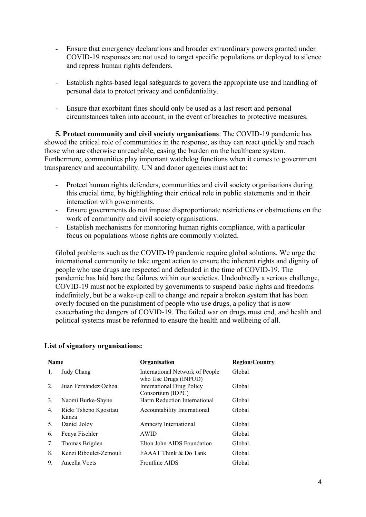- Ensure that emergency declarations and broader extraordinary powers granted under COVID-19 responses are not used to target specific populations or deployed to silence and repress human rights defenders.
- Establish rights-based legal safeguards to govern the appropriate use and handling of personal data to protect privacy and confidentiality.
- Ensure that exorbitant fines should only be used as a last resort and personal circumstances taken into account, in the event of breaches to protective measures.

**5. Protect community and civil society organisations**: The COVID-19 pandemic has showed the critical role of communities in the response, as they can react quickly and reach those who are otherwise unreachable, easing the burden on the healthcare system. Furthermore, communities play important watchdog functions when it comes to government transparency and accountability. UN and donor agencies must act to:

- Protect human rights defenders, communities and civil society organisations during this crucial time, by highlighting their critical role in public statements and in their interaction with governments.
- Ensure governments do not impose disproportionate restrictions or obstructions on the work of community and civil society organisations.
- Establish mechanisms for monitoring human rights compliance, with a particular focus on populations whose rights are commonly violated.

Global problems such as the COVID-19 pandemic require global solutions. We urge the international community to take urgent action to ensure the inherent rights and dignity of people who use drugs are respected and defended in the time of COVID-19. The pandemic has laid bare the failures within our societies. Undoubtedly a serious challenge, COVID-19 must not be exploited by governments to suspend basic rights and freedoms indefinitely, but be a wake-up call to change and repair a broken system that has been overly focused on the punishment of people who use drugs, a policy that is now exacerbating the dangers of COVID-19. The failed war on drugs must end, and health and political systems must be reformed to ensure the health and wellbeing of all.

## **List of signatory organisations:**

| Name           |                                | <b>Organisation</b>                                      | <b>Region/Country</b> |
|----------------|--------------------------------|----------------------------------------------------------|-----------------------|
| 1.             | Judy Chang                     | International Network of People<br>who Use Drugs (INPUD) | Global                |
| 2.             | Juan Fernández Ochoa           | <b>International Drug Policy</b><br>Consortium (IDPC)    | Global                |
| 3 <sub>1</sub> | Naomi Burke-Shyne              | Harm Reduction International                             | Global                |
| 4.             | Ricki Tshepo Kgositau<br>Kanza | Accountability International                             | Global                |
| 5.             | Daniel Jolov                   | Amnesty International                                    | Global                |
| 6.             | Fenya Fischler                 | AWID                                                     | Global                |
| 7.             | Thomas Brigden                 | Elton John AIDS Foundation                               | Global                |
| 8.             | Kenzi Riboulet-Zemouli         | <b>FAAAT Think &amp; Do Tank</b>                         | Global                |
| 9.             | Ancella Voets                  | <b>Frontline AIDS</b>                                    | Global                |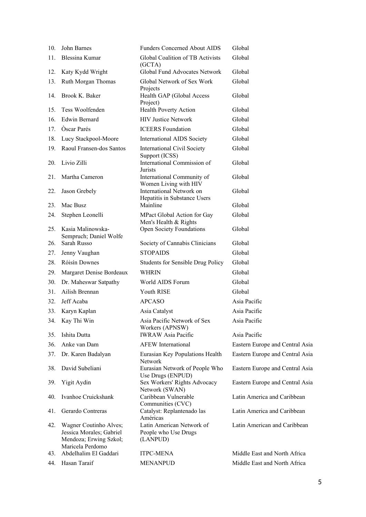| 10. | John Barnes                                                                                      | <b>Funders Concerned About AIDS</b>                           | Global                          |
|-----|--------------------------------------------------------------------------------------------------|---------------------------------------------------------------|---------------------------------|
| 11. | Blessina Kumar                                                                                   | Global Coalition of TB Activists<br>(GCTA)                    | Global                          |
| 12. | Katy Kydd Wright                                                                                 | Global Fund Advocates Network                                 | Global                          |
| 13. | Ruth Morgan Thomas                                                                               | Global Network of Sex Work                                    | Global                          |
| 14. | Brook K. Baker                                                                                   | Projects<br>Health GAP (Global Access<br>Project)             | Global                          |
| 15. | Tess Woolfenden                                                                                  | <b>Health Poverty Action</b>                                  | Global                          |
| 16. | <b>Edwin Bernard</b>                                                                             | <b>HIV Justice Network</b>                                    | Global                          |
| 17. | Oscar Parés                                                                                      | <b>ICEERS</b> Foundation                                      | Global                          |
| 18. | Lucy Stackpool-Moore                                                                             | <b>International AIDS Society</b>                             | Global                          |
| 19. | Raoul Fransen-dos Santos                                                                         | <b>International Civil Society</b><br>Support (ICSS)          | Global                          |
| 20. | Livio Zilli                                                                                      | International Commission of<br>Jurists                        | Global                          |
| 21. | Martha Cameron                                                                                   | International Community of<br>Women Living with HIV           | Global                          |
| 22. | Jason Grebely                                                                                    | International Network on<br>Hepatitis in Substance Users      | Global                          |
| 23. | Mac Busz                                                                                         | Mainline                                                      | Global                          |
| 24. | Stephen Leonelli                                                                                 | MPact Global Action for Gay<br>Men's Health & Rights          | Global                          |
| 25. | Kasia Malinowska-<br>Sempruch; Daniel Wolfe                                                      | <b>Open Society Foundations</b>                               | Global                          |
| 26. | Sarah Russo                                                                                      | Society of Cannabis Clinicians                                | Global                          |
| 27. | Jenny Vaughan                                                                                    | <b>STOPAIDS</b>                                               | Global                          |
| 28. | Róisín Downes                                                                                    | <b>Students for Sensible Drug Policy</b>                      | Global                          |
| 29. | Margaret Denise Bordeaux                                                                         | <b>WHRIN</b>                                                  | Global                          |
| 30. | Dr. Maheswar Satpathy                                                                            | World AIDS Forum                                              | Global                          |
| 31. | Ailish Brennan                                                                                   | Youth RISE                                                    | Global                          |
| 32. | Jeff Acaba                                                                                       | <b>APCASO</b>                                                 | Asia Pacific                    |
| 33. | Karyn Kaplan                                                                                     | Asia Catalyst                                                 | Asia Pacific                    |
|     | 34. Kay Thi Win                                                                                  | Asia Pacific Network of Sex<br>Workers (APNSW)                | Asia Pacific                    |
| 35. | Ishita Dutta                                                                                     | <b>IWRAW Asia Pacific</b>                                     | Asia Pacific                    |
| 36. | Anke van Dam                                                                                     | <b>AFEW</b> International                                     | Eastern Europe and Central Asia |
| 37. | Dr. Karen Badalyan                                                                               | Eurasian Key Populations Health<br>Network                    | Eastern Europe and Central Asia |
| 38. | David Subeliani                                                                                  | Eurasian Network of People Who<br>Use Drugs (ENPUD)           | Eastern Europe and Central Asia |
| 39. | Yigit Aydin                                                                                      | Sex Workers' Rights Advocacy<br>Network (SWAN)                | Eastern Europe and Central Asia |
| 40. | Ivanhoe Cruickshank                                                                              | Caribbean Vulnerable<br>Communities (CVC)                     | Latin America and Caribbean     |
| 41. | Gerardo Contreras                                                                                | Catalyst: Replantenado las<br>Américas                        | Latin America and Caribbean     |
| 42. | Wagner Coutinho Alves;<br>Jessica Morales; Gabriel<br>Mendoza; Erwing Szkol;<br>Maricela Perdomo | Latin American Network of<br>People who Use Drugs<br>(LANPUD) | Latin American and Caribbean    |
| 43. | Abdelhalim El Gaddari                                                                            | <b>ITPC-MENA</b>                                              | Middle East and North Africa    |
| 44. | Hasan Taraif                                                                                     | <b>MENANPUD</b>                                               | Middle East and North Africa    |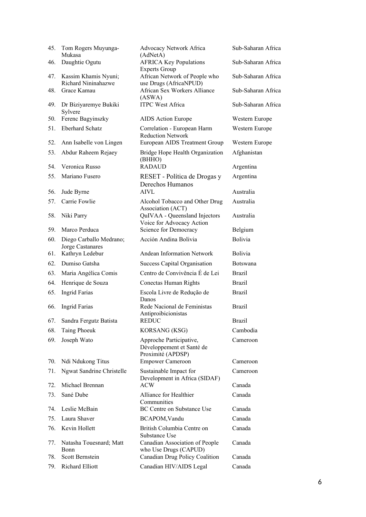| 45.        | Tom Rogers Muyunga-<br>Mukasa               | Advocacy Network Africa<br>(AdNetA)                                       | Sub-Saharan Africa |
|------------|---------------------------------------------|---------------------------------------------------------------------------|--------------------|
| 46.        | Daughtie Ogutu                              | <b>AFRICA Key Populations</b><br><b>Experts Group</b>                     | Sub-Saharan Africa |
| 47.        | Kassim Khamis Nyuni;<br>Richard Nininahazwe | African Network of People who<br>use Drugs (AfricaNPUD)                   | Sub-Saharan Africa |
| 48.        | Grace Kamau                                 | African Sex Workers Alliance<br>(ASWA)                                    | Sub-Saharan Africa |
| 49.        | Dr Biziyaremye Bukiki<br>Sylvere            | <b>ITPC West Africa</b>                                                   | Sub-Saharan Africa |
| 50.        | Ferenc Bagyinszky                           | AIDS Action Europe                                                        | Western Europe     |
| 51.        | <b>Eberhard Schatz</b>                      | Correlation - European Harm<br><b>Reduction Network</b>                   | Western Europe     |
| 52.        | Ann Isabelle von Lingen                     | European AIDS Treatment Group                                             | Western Europe     |
| 53.        | Abdur Raheem Rejaey                         | Bridge Hope Health Organization<br>(BHHO)                                 | Afghanistan        |
| 54.        | Veronica Russo                              | <b>RADAUD</b>                                                             | Argentina          |
| 55.        | Mariano Fusero                              | RESET - Política de Drogas y<br>Derechos Humanos                          | Argentina          |
| 56.        | Jude Byrne                                  | <b>AIVL</b>                                                               | Australia          |
| 57.        | Carrie Fowlie                               | Alcohol Tobacco and Other Drug<br>Association (ACT)                       | Australia          |
| 58.<br>59. | Niki Parry<br>Marco Perduca                 | QuIVAA - Queensland Injectors<br>Voice for Advocacy Action                | Australia          |
|            |                                             | Science for Democracy                                                     | Belgium            |
| 60.        | Diego Carballo Medrano;<br>Jorge Castanares | Acción Andina Bolivia                                                     | <b>Bolivia</b>     |
| 61.        | Kathryn Ledebur                             | Andean Information Network                                                | Bolivia            |
| 62.        | Dumiso Gatsha                               | <b>Success Capital Organisation</b>                                       | Botswana           |
| 63.        | Maria Angélica Comis                        | Centro de Convivência É de Lei                                            | <b>Brazil</b>      |
| 64.        | Henrique de Souza                           | Conectas Human Rights                                                     | <b>Brazil</b>      |
| 65.        | <b>Ingrid Farias</b>                        | Escola Livre de Redução de<br>Danos                                       | <b>Brazil</b>      |
| 66.        | <b>Ingrid Farias</b>                        | Rede Nacional de Feministas<br>Antiproibicionistas                        | <b>Brazil</b>      |
|            | 67. Sandra Fergutz Batista                  | REDUC                                                                     | <b>Brazil</b>      |
| 68.        | Taing Phoeuk                                | KORSANG (KSG)                                                             | Cambodia           |
| 69.        | Joseph Wato                                 | Approche Participative,<br>Développement et Santé de<br>Proximité (APDSP) | Cameroon           |
| 70.        | Ndi Ndukong Titus                           | <b>Empower Cameroon</b>                                                   | Cameroon           |
| 71.        | Ngwat Sandrine Christelle                   | Sustainable Impact for<br>Development in Africa (SIDAF)                   | Cameroon           |
| 72.        | Michael Brennan                             | <b>ACW</b>                                                                | Canada             |
| 73.        | Sané Dube                                   | Alliance for Healthier<br>Communities                                     | Canada             |
| 74.        | Leslie McBain                               | BC Centre on Substance Use                                                | Canada             |
| 75.        | Laura Shaver                                | BCAPOM, Vandu                                                             | Canada             |
| 76.        | Kevin Hollett                               | British Columbia Centre on<br>Substance Use                               | Canada             |
| 77.        | Natasha Touesnard; Matt<br>Bonn             | Canadian Association of People<br>who Use Drugs (CAPUD)                   | Canada             |
| 78.        | Scott Bernstein                             | Canadian Drug Policy Coalition                                            | Canada             |
| 79.        | Richard Elliott                             | Canadian HIV/AIDS Legal                                                   | Canada             |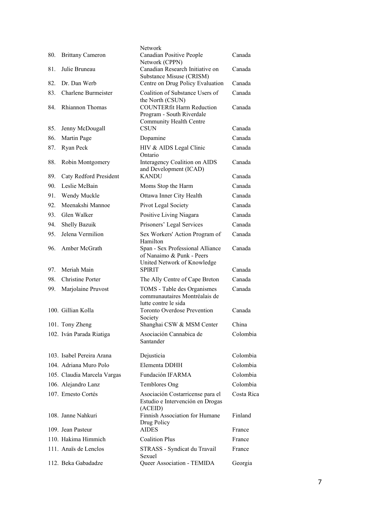| 80.        | <b>Brittany Cameron</b>                       | Network<br>Canadian Positive People                                                     | Canada           |
|------------|-----------------------------------------------|-----------------------------------------------------------------------------------------|------------------|
| 81.        | Julie Bruneau                                 | Network (CPPN)<br>Canadian Research Initiative on                                       | Canada           |
| 82.        | Dr. Dan Werb                                  | Substance Misuse (CRISM)                                                                | Canada           |
|            |                                               | Centre on Drug Policy Evaluation                                                        |                  |
| 83.<br>84. | <b>Charlene Burmeister</b><br>Rhiannon Thomas | Coalition of Substance Users of<br>the North (CSUN)<br><b>COUNTERfit Harm Reduction</b> | Canada<br>Canada |
|            |                                               | Program - South Riverdale<br>Community Health Centre                                    |                  |
| 85.        | Jenny McDougall                               | <b>CSUN</b>                                                                             | Canada           |
| 86.        | Martin Page                                   | Dopamine                                                                                | Canada           |
| 87.        | Ryan Peck                                     | HIV & AIDS Legal Clinic                                                                 | Canada           |
| 88.        | Robin Montgomery                              | Ontario<br>Interagency Coalition on AIDS<br>and Development (ICAD)                      | Canada           |
| 89.        | Caty Redford President                        | <b>KANDU</b>                                                                            | Canada           |
| 90.        | Leslie McBain                                 | Moms Stop the Harm                                                                      | Canada           |
| 91.        | Wendy Muckle                                  | Ottawa Inner City Health                                                                | Canada           |
| 92.        | Meenakshi Mannoe                              | Pivot Legal Society                                                                     | Canada           |
| 93.        | Glen Walker                                   | Positive Living Niagara                                                                 | Canada           |
| 94.        | Shelly Bazuik                                 | Prisoners' Legal Services                                                               | Canada           |
| 95.        | Jelena Vermilion                              | Sex Workers' Action Program of                                                          | Canada           |
| 96.        | Amber McGrath                                 | Hamilton<br>Span - Sex Professional Alliance<br>of Nanaimo & Punk - Peers               | Canada           |
| 97.        | Meriah Main                                   | United Network of Knowledge<br><b>SPIRIT</b>                                            | Canada           |
| 98.        | <b>Christine Porter</b>                       | The Ally Centre of Cape Breton                                                          | Canada           |
| 99.        | Marjolaine Pruvost                            | TOMS - Table des Organismes<br>communautaires Montréalais de<br>lutte contre le sida    | Canada           |
|            | 100. Gillian Kolla                            | <b>Toronto Overdose Prevention</b><br>Society                                           | Canada           |
|            | 101. Tony Zheng                               | Shanghai CSW & MSM Center                                                               | China            |
|            | 102. Iván Parada Riatiga                      | Asociación Cannabica de<br>Santander                                                    | Colombia         |
|            | 103. Isabel Pereira Arana                     | Dejusticia                                                                              | Colombia         |
|            | 104. Adriana Muro Polo                        | Elementa DDHH                                                                           | Colombia         |
|            | 105. Claudia Marcela Vargas                   | Fundación IFARMA                                                                        | Colombia         |
|            | 106. Alejandro Lanz                           | Temblores Ong                                                                           | Colombia         |
|            | 107. Ernesto Cortés                           | Asociación Costarricense para el                                                        | Costa Rica       |
|            |                                               | Estudio e Intervención en Drogas<br>(ACEID)                                             |                  |
|            | 108. Janne Nahkuri                            | Finnish Association for Humane<br>Drug Policy                                           | Finland          |
|            | 109. Jean Pasteur                             | <b>AIDES</b>                                                                            | France           |
|            | 110. Hakima Himmich                           | <b>Coalition Plus</b>                                                                   | France           |
|            | 111. Anaïs de Lenclos                         | STRASS - Syndicat du Travail<br>Sexuel                                                  | France           |
|            | 112. Beka Gabadadze                           | Queer Association - TEMIDA                                                              | Georgia          |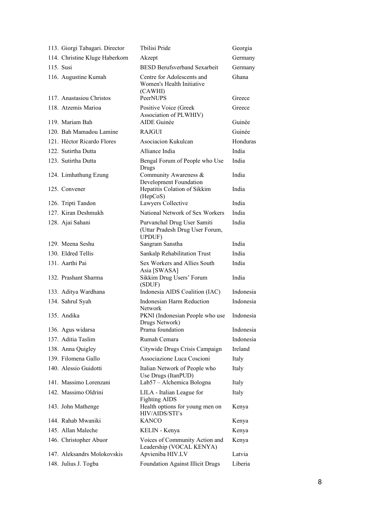| 113. Giorgi Tabagari. Director                        | Tbilisi Pride                                                                  | Georgia         |
|-------------------------------------------------------|--------------------------------------------------------------------------------|-----------------|
| 114. Christine Kluge Haberkorn                        | Akzept                                                                         | Germany         |
| 115. Susi                                             | <b>BESD Berufsverband Sexarbeit</b>                                            | Germany         |
| 116. Augustine Kumah                                  | Centre for Adolescents and<br>Women's Health Initiative<br>(CAWHI)             | Ghana           |
| 117. Anastasiou Christos                              | PeerNUPS                                                                       | Greece          |
| 118. Atzemis Marioa                                   | Positive Voice (Greek<br>Association of PLWHIV)                                | Greece          |
| 119. Mariam Bah                                       | <b>AIDE</b> Guinée                                                             | Guinée          |
| 120. Bah Mamadou Lamine                               | <b>RAJGUI</b>                                                                  | Guinée          |
| 121. Héctor Ricardo Flores                            | Asociacion Kukulcan                                                            | Honduras        |
| 122. Sutirtha Dutta                                   | Alliance India                                                                 | India           |
| 123. Sutirtha Dutta                                   | Bengal Forum of People who Use                                                 | India           |
| 124. Limhathung Ezung                                 | Drugs<br>Community Awareness &<br>Development Foundation                       | India           |
| 125. Convener                                         | Hepatitis Colation of Sikkim<br>(HepCoS)                                       | India           |
| 126. Tripti Tandon                                    | Lawyers Collective                                                             | India           |
| 127. Kiran Deshmukh                                   | National Network of Sex Workers                                                | India           |
| 128. Ajai Sahani                                      | Purvanchal Drug User Samiti<br>(Uttar Pradesh Drug User Forum,<br>UPDUF)       | India           |
| 129. Meena Seshu                                      | Sangram Sanstha                                                                | India           |
| 130. Eldred Tellis                                    | Sankalp Rehabilitation Trust                                                   | India           |
| 131. Aarthi Pai                                       | Sex Workers and Allies South<br>Asia [SWASA]                                   | India           |
| 132. Prashant Sharma                                  | Sikkim Drug Users' Forum<br>(SDUF)                                             | India           |
| 133. Aditya Wardhana                                  | Indonesia AIDS Coalition (IAC)                                                 | Indonesia       |
| 134. Sahrul Syah                                      | Indonesian Harm Reduction<br><b>Network</b>                                    | Indonesia       |
| 135. Andika                                           | PKNI (Indonesian People who use<br>Drugs Network)                              | Indonesia       |
| 136. Agus widarsa                                     | Prama foundation                                                               | Indonesia       |
| 137. Aditia Taslim                                    | Rumah Cemara                                                                   | Indonesia       |
| 138. Anna Quigley                                     | Citywide Drugs Crisis Campaign                                                 | Ireland         |
| 139. Filomena Gallo                                   | Associazione Luca Coscioni                                                     | Italy           |
| 140. Alessio Guidotti                                 | Italian Network of People who<br>Use Drugs (ItanPUD)                           | Italy           |
| 141. Massimo Lorenzani                                | Lab57 - Alchemica Bologna                                                      | Italy           |
| 142. Massimo Oldrini                                  | LILA - Italian League for<br><b>Fighting AIDS</b>                              | Italy           |
| 143. John Mathenge                                    | Health options for young men on<br>HIV/AIDS/STI's                              | Kenya           |
| 144. Rahab Mwaniki                                    | <b>KANCO</b>                                                                   | Kenya           |
| 145. Allan Maleche                                    | KELIN - Kenya                                                                  | Kenya           |
| 146. Christopher Abuor<br>147. Aleksandrs Molokovskis | Voices of Community Action and<br>Leadership (VOCAL KENYA)<br>Apvieniba HIV.LV | Kenya<br>Latvia |
|                                                       |                                                                                | Liberia         |
| 148. Julius J. Togba                                  | Foundation Against Illicit Drugs                                               |                 |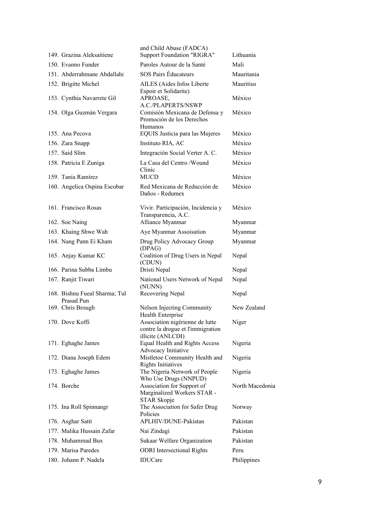| 149. Grazina Aleksaitiene                   | and Child Abuse (FADCA)<br><b>Support Foundation "RIGRA"</b>                              | Lithuania       |
|---------------------------------------------|-------------------------------------------------------------------------------------------|-----------------|
| 150. Evanno Funder                          | Paroles Autour de la Santé                                                                | Mali            |
| 151. Abderrahmane Abdallahi                 | <b>SOS Pairs Éducateurs</b>                                                               | Mauritania      |
| 152. Brigitte Michel                        | AILES (Aides Infos Liberte<br>Espoir et Solidarite)                                       | Mauritius       |
| 153. Cynthia Navarrete Gil                  | APROASE,<br>A.C./PLAPERTS/NSWP                                                            | México          |
| 154. Olga Guzmán Vergara                    | Comisión Mexicana de Defensa y<br>Promoción de los Derechos<br>Humanos                    | México          |
| 155. Ana Pecova                             | EQUIS Justicia para las Mujeres                                                           | México          |
| 156. Zara Snapp                             | Instituto RIA, AC                                                                         | México          |
| 157. Said Slim                              | Integración Social Verter A. C.                                                           | México          |
| 158. Patricia E Zuniga                      | La Casa del Centro /Wound<br>Clinic                                                       | México          |
| 159. Tania Ramírez                          | <b>MUCD</b>                                                                               | México          |
| 160. Angelica Ospina Escobar                | Red Mexicana de Reducción de<br>Daños - Redumex                                           | México          |
| 161. Francisco Rosas                        | Vivir. Participación, Incidencia y<br>Transparencia, A.C.                                 | México          |
| 162. Soe Naing                              | Alliance Myanmar                                                                          | Myanmar         |
| 163. Khaing Shwe Wah                        | Aye Myanmar Assoisation                                                                   | Myanmar         |
| 164. Nang Pann Ei Kham                      | Drug Policy Advocacy Group<br>(DPAG)                                                      | Myanmar         |
| 165. Anjay Kumar KC                         | Coalition of Drug Users in Nepal<br>(CDUN)                                                | Nepal           |
| 166. Parina Subba Limbu                     | Dristi Nepal                                                                              | Nepal           |
| 167. Ranjit Tiwari                          | National Users Network of Nepal<br>(NUNN)                                                 | Nepal           |
| 168. Bishnu Fueal Sharma; Tul<br>Prasad Pun | Recovering Nepal                                                                          | Nepal           |
| 169. Chris Brough                           | Nelson Injecting Community<br>Health Enterprise                                           | New Zealand     |
| 170. Dove Koffi                             | Association nigérienne de lutte<br>contre la drogue et l'immigration<br>illicite (ANLCDI) | Niger           |
| 171. Eghaghe James                          | Equal Health and Rights Access<br>Advocacy Initiative                                     | Nigeria         |
| 172. Diana Joseph Edem                      | Mistletoe Community Health and<br><b>Rights Initiatives</b>                               | Nigeria         |
| 173. Eghaghe James                          | The Nigeria Network of People<br>Who Use Drugs (NNPUD)                                    | Nigeria         |
| 174. Borche                                 | Association for Support of<br>Marginalized Workers STAR -<br>STAR Skopje                  | North Macedonia |
| 175. Ina Roll Spinnangr                     | The Association for Safer Drug<br>Policies                                                | Norway          |
| 176. Asghar Satti                           | APLHIV/DUNE-Pakistan                                                                      | Pakistan        |
| 177. Malika Hussain Zafar                   | Nai Zindagi                                                                               | Pakistan        |
| 178. Muhammad Bux                           | Sukaar Welfare Organization                                                               | Pakistan        |
| 179. Marisa Paredes                         | <b>ODRI</b> Intersectional Rights                                                         | Peru            |
| 180. Johann P. Nadela                       | IDUCare                                                                                   | Philippines     |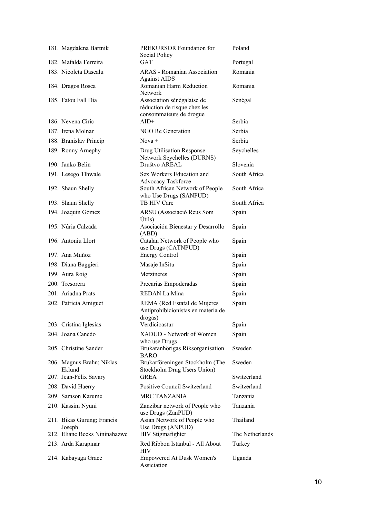| 181. Magdalena Bartnik               | PREKURSOR Foundation for<br>Social Policy                                             | Poland          |
|--------------------------------------|---------------------------------------------------------------------------------------|-----------------|
| 182. Mafalda Ferreira                | <b>GAT</b>                                                                            | Portugal        |
| 183. Nicoleta Dascalu                | <b>ARAS</b> - Romanian Association<br><b>Against AIDS</b>                             | Romania         |
| 184. Dragos Rosca                    | Romanian Harm Reduction<br>Network                                                    | Romania         |
| 185. Fatou Fall Dia                  | Association sénégalaise de<br>réduction de risque chez les<br>consommateurs de drogue | Sénégal         |
| 186. Nevena Ciric                    | $AID+$                                                                                | Serbia          |
| 187. Irena Molnar                    | NGO Re Generation                                                                     | Serbia          |
| 188. Branislav Princip               | Nova +                                                                                | Serbia          |
| 189. Ronny Arnephy                   | Drug Utilisation Response<br>Network Seychelles (DURNS)                               | Seychelles      |
| 190. Janko Belin                     | Društvo AREAL                                                                         | Slovenia        |
| 191. Lesego Tlhwale                  | Sex Workers Education and<br>Advocacy Taskforce                                       | South Africa    |
| 192. Shaun Shelly                    | South African Network of People<br>who Use Drugs (SANPUD)                             | South Africa    |
| 193. Shaun Shelly                    | TB HIV Care                                                                           | South Africa    |
| 194. Joaquin Gómez                   | ARSU (Associació Reus Som<br><b>Útils</b> )                                           | Spain           |
| 195. Núria Calzada                   | Asociación Bienestar y Desarrollo<br>(ABD)                                            | Spain           |
| 196. Antoniu Llort                   | Catalan Network of People who<br>use Drugs (CATNPUD)                                  | Spain           |
| 197. Ana Muñoz                       | <b>Energy Control</b>                                                                 | Spain           |
| 198. Diana Baggieri                  | Masaje InSitu                                                                         | Spain           |
| 199. Aura Roig                       | Metzineres                                                                            | Spain           |
| 200. Tresorera                       | Precarias Empoderadas                                                                 | Spain           |
| 201. Ariadna Prats                   | REDAN La Mina                                                                         | Spain           |
| 202. Patricia Amiguet                | REMA (Red Estatal de Mujeres<br>Antiprohibicionistas en materia de<br>drogas)         | Spain           |
| 203. Cristina Iglesias               | Verdicioastur                                                                         | Spain           |
| 204. Joana Canedo                    | XADUD - Network of Women<br>who use Drugs                                             | Spain           |
| 205. Christine Sander                | Brukaranhörigas Riksorganisation<br><b>BARO</b>                                       | Sweden          |
| 206. Magnus Brahn; Niklas<br>Eklund  | Brukarföreningen Stockholm (The<br>Stockholm Drug Users Union)                        | Sweden          |
| 207. Jean-Félix Savary               | <b>GREA</b>                                                                           | Switzerland     |
| 208. David Haerry                    | Positive Council Switzerland                                                          | Switzerland     |
| 209. Samson Karume                   | <b>MRC TANZANIA</b>                                                                   | Tanzania        |
| 210. Kassim Nyuni                    | Zanzibar network of People who<br>use Drugs (ZanPUD)                                  | Tanzania        |
| 211. Bikas Gurung; Francis<br>Joseph | Asian Network of People who<br>Use Drugs (ANPUD)                                      | Thailand        |
| 212. Eliane Becks Nininahazwe        | HIV Stigmafighter                                                                     | The Netherlands |
| 213. Arda Karapınar                  | Red Ribbon Istanbul - All About<br>HIV                                                | Turkey          |
| 214. Kabayaga Grace                  | Empowered At Dusk Women's<br>Assiciation                                              | Uganda          |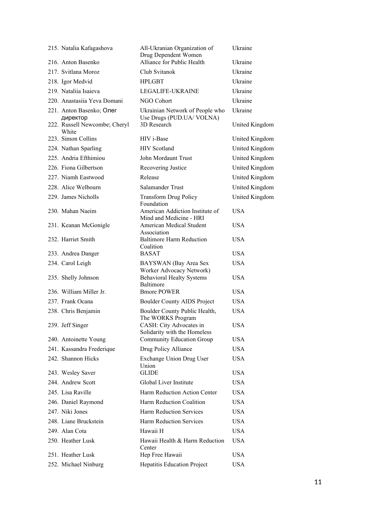| 215. Natalia Kafagashova               | All-Ukranian Organization of<br>Drug Dependent Women         | Ukraine               |
|----------------------------------------|--------------------------------------------------------------|-----------------------|
| 216. Anton Basenko                     | Alliance for Public Health                                   | Ukraine               |
| 217. Svitlana Moroz                    | Club Svitanok                                                | Ukraine               |
| 218. Igor Medvid                       | <b>HPLGBT</b>                                                | Ukraine               |
| 219. Nataliia Isaieva                  | LEGALIFE-UKRAINE                                             | Ukraine               |
| 220. Anastasiia Yeva Domani            | NGO Cohort                                                   | Ukraine               |
| 221. Anton Basenko; Олег<br>директор   | Ukrainian Network of People who<br>Use Drugs (PUD.UA/ VOLNA) | Ukraine               |
| 222. Russell Newcombe; Cheryl<br>White | 3D Research                                                  | United Kingdom        |
| 223. Simon Collins                     | HIV i-Base                                                   | United Kingdom        |
| 224. Nathan Sparling                   | <b>HIV</b> Scotland                                          | United Kingdom        |
| 225. Andria Efthimiou                  | John Mordaunt Trust                                          | United Kingdom        |
| 226. Fiona Gilbertson                  | Recovering Justice                                           | United Kingdom        |
| 227. Niamh Eastwood                    | Release                                                      | <b>United Kingdom</b> |
| 228. Alice Welbourn                    | Salamander Trust                                             | United Kingdom        |
| 229. James Nicholls                    | <b>Transform Drug Policy</b><br>Foundation                   | United Kingdom        |
| 230. Mahan Naeim                       | American Addiction Institute of<br>Mind and Medicine - HRI   | <b>USA</b>            |
| 231. Keanan McGonigle                  | American Medical Student<br>Association                      | <b>USA</b>            |
| 232. Harriet Smith                     | <b>Baltimore Harm Reduction</b><br>Coalition                 | <b>USA</b>            |
| 233. Andrea Danger                     | <b>BASAT</b>                                                 | <b>USA</b>            |
| 234. Carol Leigh                       | BAYSWAN (Bay Area Sex<br>Worker Advocacy Network)            | <b>USA</b>            |
| 235. Shelly Johnson                    | <b>Behavioral Healty Systems</b><br>Baltimore                | <b>USA</b>            |
| 236. William Miller Jr.                | <b>Bmore POWER</b>                                           | <b>USA</b>            |
| 237. Frank Ocana                       | <b>Boulder County AIDS Project</b>                           | <b>USA</b>            |
| 238. Chris Benjamin                    | Boulder County Public Health,<br>The WORKS Program           | <b>USA</b>            |
| 239. Jeff Singer                       | CASH: City Advocates in<br>Solidarity with the Homeless      | <b>USA</b>            |
| 240. Antoinette Young                  | <b>Community Education Group</b>                             | <b>USA</b>            |
| 241. Kassandra Frederique              | Drug Policy Alliance                                         | <b>USA</b>            |
| 242. Shannon Hicks                     | Exchange Union Drug User<br>Union                            | <b>USA</b>            |
| 243. Wesley Saver                      | <b>GLIDE</b>                                                 | <b>USA</b>            |
| 244. Andrew Scott                      | Global Liver Institute                                       | <b>USA</b>            |
| 245. Lisa Raville                      | Harm Reduction Action Center                                 | <b>USA</b>            |
| 246. Daniel Raymond                    | Harm Reduction Coalition                                     | <b>USA</b>            |
| 247. Niki Jones                        | <b>Harm Reduction Services</b>                               | <b>USA</b>            |
| 248. Liane Bruckstein                  | <b>Harm Reduction Services</b>                               | <b>USA</b>            |
| 249. Alan Cota                         | Hawaii H                                                     | <b>USA</b>            |
| 250. Heather Lusk                      | Hawaii Health & Harm Reduction<br>Center                     | <b>USA</b>            |
| 251. Heather Lusk                      | Hep Free Hawaii                                              | <b>USA</b>            |
| 252. Michael Ninburg                   | Hepatitis Education Project                                  | <b>USA</b>            |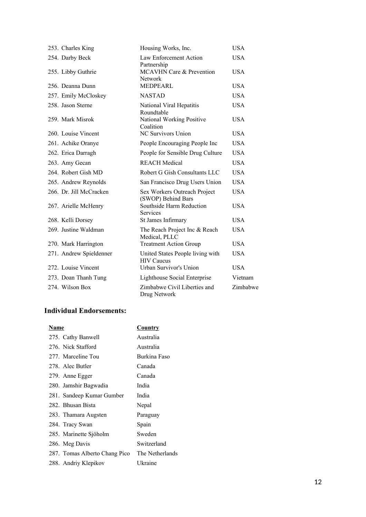| 253. Charles King       | Housing Works, Inc.                                   | <b>USA</b> |
|-------------------------|-------------------------------------------------------|------------|
| 254. Darby Beck         | Law Enforcement Action<br>Partnership                 | <b>USA</b> |
| 255. Libby Guthrie      | <b>MCAVHN Care &amp; Prevention</b><br><b>Network</b> | <b>USA</b> |
| 256. Deanna Dunn        | <b>MEDPEARL</b>                                       | <b>USA</b> |
| 257. Emily McCloskey    | <b>NASTAD</b>                                         | <b>USA</b> |
| 258. Jason Sterne       | National Viral Hepatitis<br>Roundtable                | <b>USA</b> |
| 259. Mark Misrok        | National Working Positive<br>Coalition                | <b>USA</b> |
| 260. Louise Vincent     | <b>NC Survivors Union</b>                             | <b>USA</b> |
| 261. Achike Oranye      | People Encouraging People Inc                         | <b>USA</b> |
| 262. Erica Darragh      | People for Sensible Drug Culture                      | <b>USA</b> |
| 263. Amy Gecan          | <b>REACH Medical</b>                                  | <b>USA</b> |
| 264. Robert Gish MD     | Robert G Gish Consultants LLC                         | <b>USA</b> |
| 265. Andrew Reynolds    | San Francisco Drug Users Union                        | <b>USA</b> |
| 266. Dr. Jill McCracken | Sex Workers Outreach Project<br>(SWOP) Behind Bars    | <b>USA</b> |
| 267. Arielle McHenry    | Southside Harm Reduction<br><b>Services</b>           | <b>USA</b> |
| 268. Kelli Dorsey       | St James Infirmary                                    | <b>USA</b> |
| 269. Justine Waldman    | The Reach Project Inc & Reach<br>Medical, PLLC        | <b>USA</b> |
| 270. Mark Harrington    | <b>Treatment Action Group</b>                         | <b>USA</b> |
| 271. Andrew Spieldenner | United States People living with<br><b>HIV Caucus</b> | <b>USA</b> |
| 272. Louise Vincent     | Urban Survivor's Union                                | <b>USA</b> |
| 273. Doan Thanh Tung    | Lighthouse Social Enterprise                          | Vietnam    |
| 274. Wilson Box         | Zimbabwe Civil Liberties and<br>Drug Network          | Zimbabwe   |

## **Individual Endorsements:**

| Name                          | <b>Country</b>  |
|-------------------------------|-----------------|
| 275. Cathy Banwell            | Australia       |
| 276. Nick Stafford            | Australia       |
| 277. Marceline Tou            | Burkina Faso    |
| 278. Alec Butler              | Canada          |
| 279. Anne Egger               | Canada          |
| 280. Jamshir Bagwadia         | India           |
| 281. Sandeep Kumar Gumber     | India           |
| 282. Bhusan Bista             | Nepal           |
| 283. Thamara Augsten          | Paraguay        |
| 284. Tracy Swan               | Spain           |
| 285. Marinette Sjöholm        | Sweden          |
| 286. Meg Davis                | Switzerland     |
| 287. Tomas Alberto Chang Pico | The Netherlands |
| 288. Andriy Klepikov          | Ukraine         |
|                               |                 |